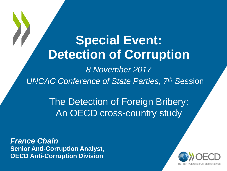# **Special Event: Detection of Corruption**

*8 November 2017 UNCAC Conference of State Parties, 7th S*ession

> The Detection of Foreign Bribery: An OECD cross-country study

*France Chain* **Senior Anti-Corruption Analyst, OECD Anti-Corruption Division** 

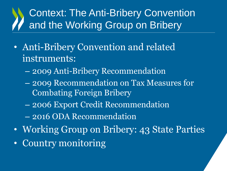## Context: The Anti-Bribery Convention and the Working Group on Bribery

- Anti-Bribery Convention and related instruments:
	- 2009 Anti-Bribery Recommendation
	- 2009 Recommendation on Tax Measures for Combating Foreign Bribery
	- 2006 Export Credit Recommendation
	- 2016 ODA Recommendation
- Working Group on Bribery: 43 State Parties
- Country monitoring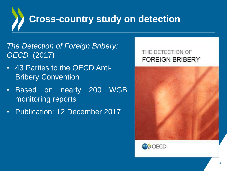

#### *The Detection of Foreign Bribery: OECD* (2017)

- 43 Parties to the OECD Anti-Bribery Convention
- Based on nearly 200 WGB monitoring reports
- Publication: 12 December 2017

#### THE DETECTION OF **FOREIGN BRIBERY**

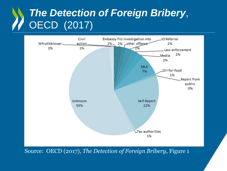### *The Detection of Foreign Bribery*, OECD (2017)



Source: OECD (2017), *The Detection of Foreign Bribery*, Figure 1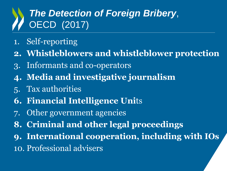#### *The Detection of Foreign Bribery*, OECD (2017)

- 1. Self-reporting
- **2. Whistleblowers and whistleblower protection**
- 3. Informants and co-operators
- **4. Media and investigative journalism**
- 5. Tax authorities
- **6. Financial Intelligence Uni**ts
- 7. Other government agencies
- **8. Criminal and other legal proceedings**
- **9. International cooperation, including with IOs**
- 10. Professional advisers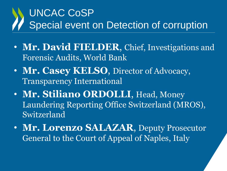## UNCAC CoSP Special event on Detection of corruption

- **Mr. David FIELDER**, Chief, Investigations and Forensic Audits, World Bank
- **Mr. Casey KELSO**, Director of Advocacy, Transparency International
- **Mr. Stiliano ORDOLLI**, Head, Money Laundering Reporting Office Switzerland (MROS), Switzerland
- **Mr. Lorenzo SALAZAR**, Deputy Prosecutor General to the Court of Appeal of Naples, Italy